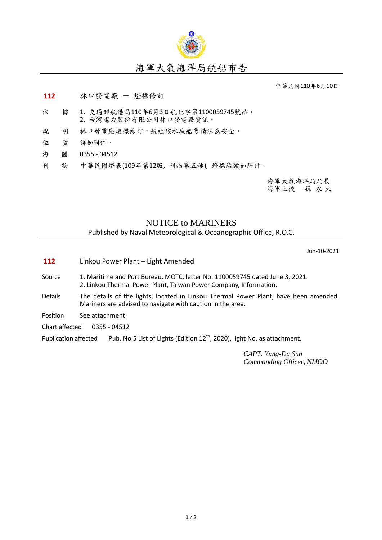

## 海軍大氣海洋局航船布告

中華民國110年6月10日

## **112** 林口發電廠 - 燈標修訂

- 依 據 1. 交通部航港局110年6月3日航北字第1100059745號函。 2. 台灣電力股份有限公司林口發電廠資訊。
- 說 明 林口發電廠燈標修訂,航經該水域船售請注意安全。
- 位 置 詳如附件。
- 海 圖 0355 04512
- 刊 物 中華民國燈表(109年第12版, 刊物第五種), 燈標編號如附件。

海軍大氣海洋局局長 海軍上校 孫 永 大

## NOTICE to MARINERS Published by Naval Meteorological & Oceanographic Office, R.O.C.

Jun-10-2021

- **112** Linkou Power Plant Light Amended
- Source 1. Maritime and Port Bureau, MOTC, letter No. 1100059745 dated June 3, 2021. 2. Linkou Thermal Power Plant, Taiwan Power Company, Information.
- Details The details of the lights, located in Linkou Thermal Power Plant, have been amended. Mariners are advised to navigate with caution in the area.

Position See attachment.

Chart affected 0355 - 04512

Publication affected Pub. No.5 List of Lights (Edition  $12^{th}$ , 2020), light No. as attachment.

*CAPT. Yung-Da Sun Commanding Officer, NMOO*